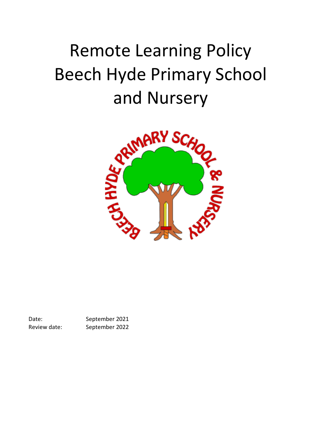# Remote Learning Policy Beech Hyde Primary School



Date: September 2021 Review date: September 2022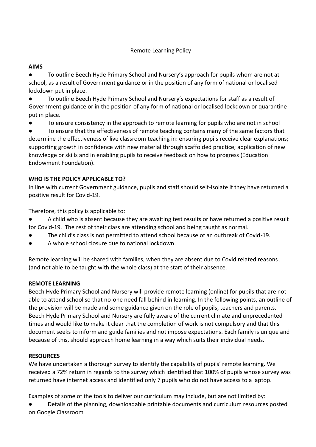## Remote Learning Policy

## **AIMS**

● To outline Beech Hyde Primary School and Nursery's approach for pupils whom are not at school, as a result of Government guidance or in the position of any form of national or localised lockdown put in place.

● To outline Beech Hyde Primary School and Nursery's expectations for staff as a result of Government guidance or in the position of any form of national or localised lockdown or quarantine put in place.

● To ensure consistency in the approach to remote learning for pupils who are not in school

● To ensure that the effectiveness of remote teaching contains many of the same factors that determine the effectiveness of live classroom teaching in: ensuring pupils receive clear explanations; supporting growth in confidence with new material through scaffolded practice; application of new knowledge or skills and in enabling pupils to receive feedback on how to progress (Education Endowment Foundation).

# **WHO IS THE POLICY APPLICABLE TO?**

In line with current Government guidance, pupils and staff should self-isolate if they have returned a positive result for Covid-19.

Therefore, this policy is applicable to:

● A child who is absent because they are awaiting test results or have returned a positive result for Covid-19. The rest of their class are attending school and being taught as normal.

- The child's class is not permitted to attend school because of an outbreak of Covid-19.
- A whole school closure due to national lockdown.

Remote learning will be shared with families, when they are absent due to Covid related reasons, (and not able to be taught with the whole class) at the start of their absence.

### **REMOTE LEARNING**

Beech Hyde Primary School and Nursery will provide remote learning (online) for pupils that are not able to attend school so that no-one need fall behind in learning. In the following points, an outline of the provision will be made and some guidance given on the role of pupils, teachers and parents. Beech Hyde Primary School and Nursery are fully aware of the current climate and unprecedented times and would like to make it clear that the completion of work is not compulsory and that this document seeks to inform and guide families and not impose expectations. Each family is unique and because of this, should approach home learning in a way which suits their individual needs.

### **RESOURCES**

We have undertaken a thorough survey to identify the capability of pupils' remote learning. We received a 72% return in regards to the survey which identified that 100% of pupils whose survey was returned have internet access and identified only 7 pupils who do not have access to a laptop.

Examples of some of the tools to deliver our curriculum may include, but are not limited by:

● Details of the planning, downloadable printable documents and curriculum resources posted on Google Classroom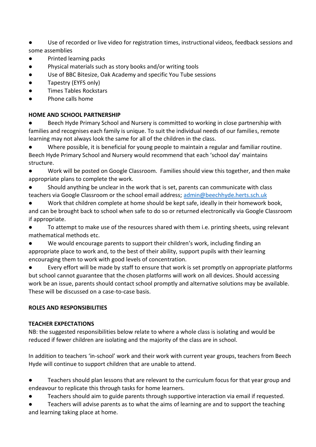Use of recorded or live video for registration times, instructional videos, feedback sessions and some assemblies

- Printed learning packs
- Physical materials such as story books and/or writing tools
- Use of BBC Bitesize, Oak Academy and specific You Tube sessions
- Tapestry (EYFS only)
- Times Tables Rockstars
- Phone calls home

## **HOME AND SCHOOL PARTNERSHIP**

● Beech Hyde Primary School and Nursery is committed to working in close partnership with families and recognises each family is unique. To suit the individual needs of our families, remote learning may not always look the same for all of the children in the class.

● Where possible, it is beneficial for young people to maintain a regular and familiar routine. Beech Hyde Primary School and Nursery would recommend that each 'school day' maintains structure.

● Work will be posted on Google Classroom. Families should view this together, and then make appropriate plans to complete the work.

Should anything be unclear in the work that is set, parents can communicate with class teachers via Google Classroom or the school email address; [admin@beechhyde.herts.sch.uk](mailto:admin@beechhyde.herts.sch.uk)

Work that children complete at home should be kept safe, ideally in their homework book, and can be brought back to school when safe to do so or returned electronically via Google Classroom if appropriate.

To attempt to make use of the resources shared with them i.e. printing sheets, using relevant mathematical methods etc.

We would encourage parents to support their children's work, including finding an appropriate place to work and, to the best of their ability, support pupils with their learning encouraging them to work with good levels of concentration.

Every effort will be made by staff to ensure that work is set promptly on appropriate platforms but school cannot guarantee that the chosen platforms will work on all devices. Should accessing work be an issue, parents should contact school promptly and alternative solutions may be available. These will be discussed on a case-to-case basis.

# **ROLES AND RESPONSIBILITIES**

### **TEACHER EXPECTATIONS**

NB: the suggested responsibilities below relate to where a whole class is isolating and would be reduced if fewer children are isolating and the majority of the class are in school.

In addition to teachers 'in-school' work and their work with current year groups, teachers from Beech Hyde will continue to support children that are unable to attend.

Teachers should plan lessons that are relevant to the curriculum focus for that year group and endeavour to replicate this through tasks for home learners.

Teachers should aim to guide parents through supportive interaction via email if requested.

Teachers will advise parents as to what the aims of learning are and to support the teaching and learning taking place at home.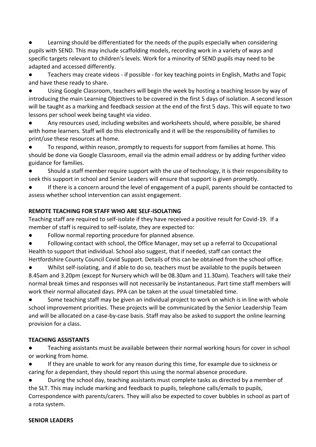Learning should be differentiated for the needs of the pupils especially when considering pupils with SEND. This may include scaffolding models, recording work in a variety of ways and specific targets relevant to children's levels. Work for a minority of SEND pupils may need to be adapted and accessed differently.

● Teachers may create videos - if possible - for key teaching points in English, Maths and Topic and have these ready to share.

Using Google Classroom, teachers will begin the week by hosting a teaching lesson by way of introducing the main Learning Objectives to be covered in the first 5 days of isolation. A second lesson will be taught as a marking and feedback session at the end of the first 5 days. This will equate to two lessons per school week being taught via video.

● Any resources used, including websites and worksheets should, where possible, be shared with home learners. Staff will do this electronically and it will be the responsibility of families to print/use these resources at home.

● To respond, within reason, promptly to requests for support from families at home. This should be done via Google Classroom, email via the admin email address or by adding further video guidance for families.

● Should a staff member require support with the use of technology, it is their responsibility to seek this support in school and Senior Leaders will ensure that support is given promptly.

If there is a concern around the level of engagement of a pupil, parents should be contacted to assess whether school intervention can assist engagement.

# **REMOTE TEACHING FOR STAFF WHO ARE SELF-ISOLATING**

Teaching staff are required to self-isolate if they have received a positive result for Covid-19. If a member of staff is required to self-isolate, they are expected to:

● Follow normal reporting procedure for planned absence.

● Following contact with school, the Office Manager, may set up a referral to Occupational Health to support that individual. School also suggest, that if needed, staff can contact the Hertfordshire County Council Covid Support. Details of this can be obtained from the school office.

Whilst self-isolating, and if able to do so, teachers must be available to the pupils between 8.45am and 3.20pm (except for Nursery which will be 08.30am and 11.30am). Teachers will take their normal break times and responses will not necessarily be instantaneous. Part time staff members will work their normal allocated days. PPA can be taken at the usual timetabled time.

Some teaching staff may be given an individual project to work on which is in line with whole school improvement priorities. These projects will be communicated by the Senior Leadership Team and will be allocated on a case-by-case basis. Staff may also be asked to support the online learning provision for a class.

# **TEACHING ASSISTANTS**

● Teaching assistants must be available between their normal working hours for cover in school or working from home.

If they are unable to work for any reason during this time, for example due to sickness or caring for a dependant, they should report this using the normal absence procedure.

● During the school day, teaching assistants must complete tasks as directed by a member of the SLT. This may include marking and feedback to pupils, telephone calls/emails to pupils,

Correspondence with parents/carers. They will also be expected to cover bubbles in school as part of a rota system.

### **SENIOR LEADERS**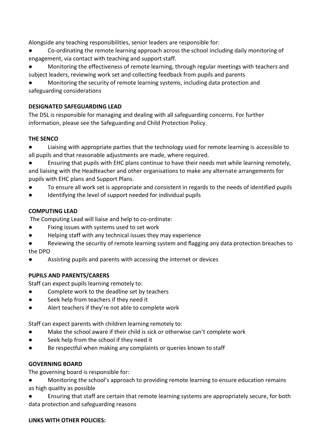Alongside any teaching responsibilities, senior leaders are responsible for:

- Co-ordinating the remote learning approach across the school including daily monitoring of engagement, via contact with teaching and support staff.
- Monitoring the effectiveness of remote learning, through regular meetings with teachers and subject leaders, reviewing work set and collecting feedback from pupils and parents

Monitoring the security of remote learning systems, including data protection and safeguarding considerations

## **DESIGNATED SAFEGUARDING LEAD**

The DSL is responsible for managing and dealing with all safeguarding concerns. For further information, please see the Safeguarding and Child Protection Policy.

## **THE SENCO**

● Liaising with appropriate parties that the technology used for remote learning is accessible to all pupils and that reasonable adjustments are made, where required.

Ensuring that pupils with EHC plans continue to have their needs met while learning remotely, and liaising with the Headteacher and other organisations to make any alternate arrangements for pupils with EHC plans and Support Plans.

- To ensure all work set is appropriate and consistent in regards to the needs of identified pupils
- Identifying the level of support needed for individual pupils

## **COMPUTING LEAD**

The Computing Lead will liaise and help to co-ordinate:

- Fixing issues with systems used to set work
- Helping staff with any technical issues they may experience
- Reviewing the security of remote learning system and flagging any data protection breaches to the DPO
- Assisting pupils and parents with accessing the internet or devices

# **PUPILS AND PARENTS/CARERS**

Staff can expect pupils learning remotely to:

- Complete work to the deadline set by teachers
- Seek help from teachers if they need it
- Alert teachers if they're not able to complete work

Staff can expect parents with children learning remotely to:

- Make the school aware if their child is sick or otherwise can't complete work
- Seek help from the school if they need it
- Be respectful when making any complaints or queries known to staff

### **GOVERNING BOARD**

The governing board is responsible for:

● Monitoring the school's approach to providing remote learning to ensure education remains as high quality as possible

Ensuring that staff are certain that remote learning systems are appropriately secure, for both data protection and safeguarding reasons

### **LINKS WITH OTHER POLICIES:**